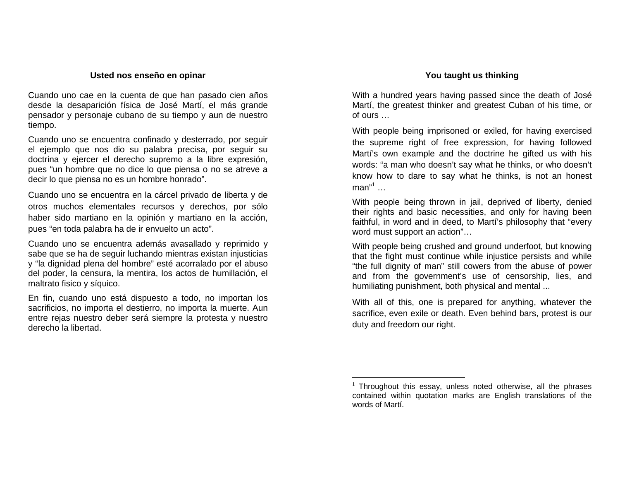## **Usted nos enseño en opinar**

Cuando uno cae en la cuenta de que han pasado cien años desde la desaparición física de José Martí, el más grande pensador y personaje cubano de su tiempo y aun de nuestro tiempo.

Cuando uno se encuentra confinado y desterrado, por seguir el ejemplo que nos dio su palabra precisa, por seguir su doctrina y ejercer el derecho supremo <sup>a</sup> la libre expresión, pues "un hombre que no dice lo que piensa <sup>o</sup> no se atreve <sup>a</sup> decir lo que piensa no es un hombre honrado".

Cuando uno se encuentra en la cárcel privado de liberta y de otros muchos elementales recursos y derechos, por sólo haber sido martiano en la opinión y martiano en la acción, pues "en toda palabra ha de ir envuelto un acto".

Cuando uno se encuentra además avasallado y reprimido y sabe que se ha de seguir luchando mientras existan injusticias y "la dignidad plena del hombre" esté acorralado por el abuso del poder, la censura, la mentira, los actos de humillación, el maltrato fisico y síquico.

En fin, cuando uno está dispuesto <sup>a</sup> todo, no importan los sacrificios, no importa el destierro, no importa la muerte. Aun entre rejas nuestro deber será siempre la protesta y nuestro derecho la libertad.

## **You taught us thinking**

With <sup>a</sup> hundred years having passed since the death of José Martí, the greatest thinker and greatest Cuban of his time, or of ours …

With people being imprisoned or exiled, for having exercised the supreme right of free expression, for having followed Martí's own example and the doctrine he gifted us with his words: "a man who doesn't say what he thinks, or who doesn't know how to dare to say what he thinks, is not an honest  $man<sup>1</sup>$  ...

With people being thrown in jail, deprived of liberty, denied their rights and basic necessities, and only for having been faithful, in word and in deed, to Martí's philosophy that "every word must support an action"…

With people being crushed and ground underfoot, but knowing that the fight must continue while injustice persists and while "the full dignity of man" still cowers from the abuse of power and from the government's use of censorship, lies, and humiliating punishment, both physical and mental ...

With all of this, one is prepared for anything, whatever the sacrifice, even exile or death. Even behind bars, protest is our duty and freedom our right.

 $1$  Throughout this essay, unless noted otherwise, all the phrases contained within quotation marks are English translations of the words of Martí.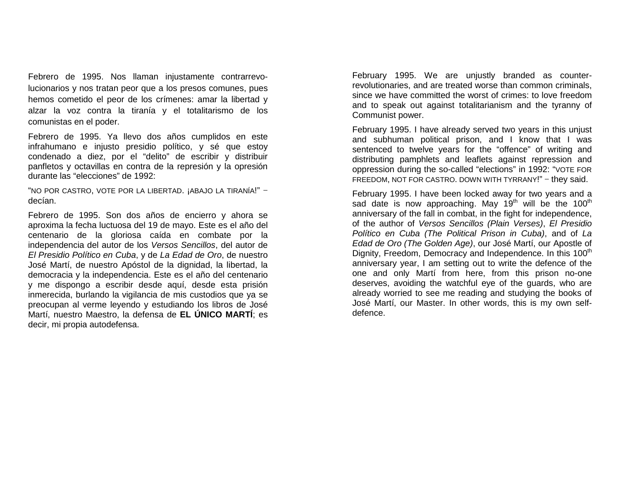Febrero de 1995. Nos llaman injustamente contrarrevolucionarios y nos tratan peor que a los presos comunes, pues hemos cometido el peor de los crímenes: amar la libertad y alzar la voz contra la tiranía y el totalitarismo de los comunistas en el poder.

Febrero de 1995. Ya llevo dos años cumplidos en este infrahumano e injusto presidio político, y sé que estoy condenado a diez, por el "delito" de escribir y distribuir panfletos y octavillas en contra de la represión y la opresión durante la s "elecciones" de 19 92:

"NO POR CASTRO, VOTE POR LA LIBERTAD. ¡ABAJO LA TIRANÍA!" – decían.

Febrero de 1995. Son dos años de encierro y ahora se aproxima la fecha luctuosa del 19 de mayo. Este es el año del centenario de la gloriosa caída en combate por la independencia del autor de los *Versos Sencillos*, del autor de *El Presidio Político en Cuba*, y de *La Edad de Oro*, de nuestro José Martí, de nuestro Apóstol de la dignidad, la libertad, la democracia y la independencia. Este es el año del centenario y me dispongo a escribir desde aquí, desde esta prisión inmerecida, burlando la vigilancia de mis custodios que ya se preocupan al verme leyendo y estudiando los libros de José Martí, <sup>n</sup> uestroMaestro, la defensade**ELÚNICOMARTÍ**; <sup>e</sup> sdecir, mi pro pia autodefensa.

February 1995. We are unjustly branded as counterrevolutionaries, and are treated worse than common criminals, since we have committed the worst of crimes: to love freedom and to speak out against totalitarianism and the tyranny of Communist p ower.

February 1995. I have already served two years in this unjust and subhuman political prison, and I know that I was sentenced to twelve years for the "offence" of writing and distributing pamphlets and leaflets against repression and oppression during the so-called "elections" in 1992: "VOTE FOR FREEDOM, NOT FOR CASTRO. DOWN WITH TYRRANY!" – they said.

February 1995. I have been locked away for two years and a sad date is now approaching. May 19<sup>th</sup> will be the 100<sup>th</sup> anniversary of the fall in combat, in th e fig ht for indep endence, of the author of *Versos Sencillos (Plain Verses), El Presidio* Político en Cuba (The Political Prison in Cuba), and of La *Edad de Oro (The Golden Age)*, our José Martí, our Apostle of Dignity, Freedom, Democracy and Independence. In this 100<sup>th</sup> anniversary year, I am setting out to write the defence of the one and only Martí from here, from this prison no-one deserves, avoiding the watchful eye of the guards, who are already worried to see me reading and studying the books of José Martí, our Master. In other words, this is my own selfdefence.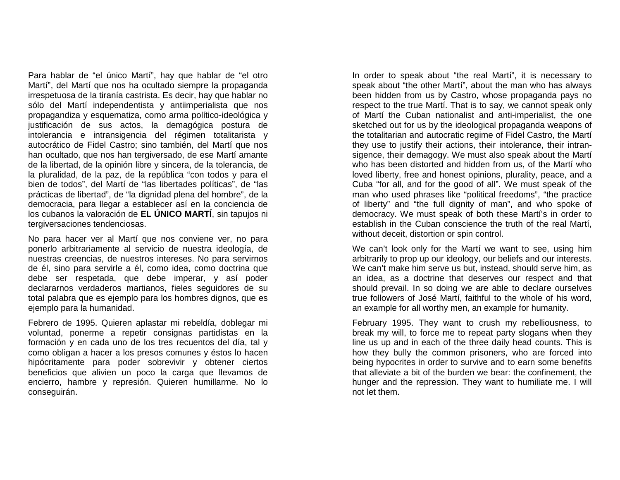Para hablar de "el único Martí", hay que hablar de "el otro Martí", del Martí que nos ha ocultado siempre la propaganda irrespetuosa de la tiranía castrista. Es decir, hay que hablar no sólo del Martí independentista y antiimperialista que nos propagandiza y esquematiza, como arma político-ideológica y justificación de sus actos, la demagógica postura de intolerancia e intransigencia del régimen totalitarista y autocrático de Fidel Castro; sino también, del Martí que nos han ocultado, que nos han tergiversado, de ese Martí amante de la libertad, de la opinión libre y sincera, de la tolerancia, de la pluralidad, de la paz, de la república "con todos y para el bien de todos", del Martí de "las libertades políticas", de "las prácticas de libertad", de "la dignidad plena del hombre", de la democracia, para llegar a establecer así en la conciencia de los cubanos la valoración de **EL ÚNICO MARTÍ**, sin tapujos ni tergiv ersaciones tendenciosas.

No para hacer ver al Martí que nos conviene ver, no para ponerlo arbitrariamente al servicio de nuestra ideología, de nuestras creencias, de nuestros intereses. No para servirnos de él, sino para servirle a él, como idea, como doctrina que debe ser respetada, que debe imperar, y así poder declararnos verdaderos martianos, fieles seguidores de su total palabra que es ejemplo para los hombres dignos, que es eje mplo p ara la humanidad.

Febrero de 1995. Quieren aplastar mi rebeldía, doblegar mi voluntad, ponerme a repetir consignas partidistas en la formación y en cada uno de los tres recuentos del día, tal y como obligan a hacer a los presos comunes y éstos lo hacen hipócritamente para poder sobrevivir y obtener ciertos beneficios que alivien un poco la carga que llevamos de encierro, hambre y represión. Quieren humillarme. No lo c ons eg uirán.

In order to speak about "the real Martí", it is necessary to speak about "the other Martí", about the man who has always been hidden from us by Castro, whose propaganda pays no respect to the true Martí. That is to say, we cannot speak only of Martí the Cuban nationalist and anti-imperialist, the one sketched out for us by the ideological propaganda weapons of the totalitarian and autocratic regime of Fidel Castro, the Martí they use to justify their actions, their intolerance, their intransigence, their demagogy. We must also speak about the Martí who has been distorted and hidden from us, of the Martí who loved liberty, free and honest opinions, plurality, peace, and a Cuba "for all, and for the good of all". We must speak of the man who used phrases like "political freedoms", "the practice of liberty" and "the full dignity of man", and who spoke of democracy. We must speak of both these Martí's in order to establish in the Cuban conscience the truth of the real Martí, without deceit, distortion or spin control.

We can't look only for the Martí we want to see, using him arbitrarily to prop up our ideology, our beliefs and our interests. We can't make him serve us but, instead, should serve him, as an idea, as a doctrine that deserves our respect and that should prevail. In so doing we are able to declare ourselves true followers of José Martí, faithful to the whole of his word, an example for all worthy men, an example for humanity.

February 1995. They want to crush my rebelliousness, to break my will, to force me to repeat party slogans when they line us up and in each of the three daily head counts. This is how they bully the common prisoners, who are forced into being hypocrites in order to survive and to earn some benefits that alleviate a bit of the burden we bear: the confinement, the hunger and the repression. They want to humiliate me. I will not let them.